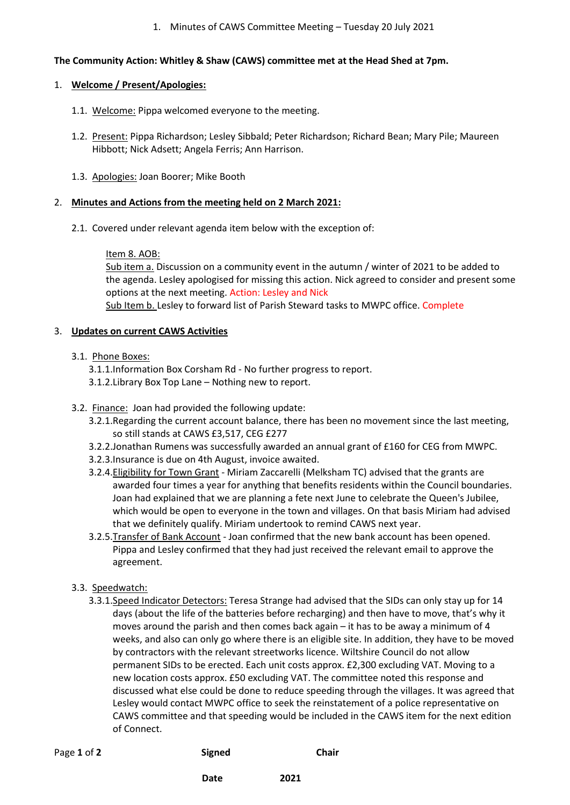#### 1. Minutes of CAWS Committee Meeting – Tuesday 20 July 2021

## **The Community Action: Whitley & Shaw (CAWS) committee met at the Head Shed at 7pm.**

#### 1. **Welcome / Present/Apologies:**

- 1.1. Welcome: Pippa welcomed everyone to the meeting.
- 1.2. Present: Pippa Richardson; Lesley Sibbald; Peter Richardson; Richard Bean; Mary Pile; Maureen Hibbott; Nick Adsett; Angela Ferris; Ann Harrison.
- 1.3. Apologies: Joan Boorer; Mike Booth

## 2. **Minutes and Actions from the meeting held on 2 March 2021:**

2.1. Covered under relevant agenda item below with the exception of:

## Item 8. AOB:

Sub item a. Discussion on a community event in the autumn / winter of 2021 to be added to the agenda. Lesley apologised for missing this action. Nick agreed to consider and present some options at the next meeting. Action: Lesley and Nick

Sub Item b. Lesley to forward list of Parish Steward tasks to MWPC office. Complete

## 3. **Updates on current CAWS Activities**

## 3.1. Phone Boxes:

- 3.1.1.Information Box Corsham Rd No further progress to report.
- 3.1.2.Library Box Top Lane Nothing new to report.
- 3.2. Finance: Joan had provided the following update:
	- 3.2.1.Regarding the current account balance, there has been no movement since the last meeting, so still stands at CAWS £3,517, CEG £277
	- 3.2.2.Jonathan Rumens was successfully awarded an annual grant of £160 for CEG from MWPC.
	- 3.2.3.Insurance is due on 4th August, invoice awaited.
	- 3.2.4.Eligibility for Town Grant Miriam Zaccarelli (Melksham TC) advised that the grants are awarded four times a year for anything that benefits residents within the Council boundaries. Joan had explained that we are planning a fete next June to celebrate the Queen's Jubilee, which would be open to everyone in the town and villages. On that basis Miriam had advised that we definitely qualify. Miriam undertook to remind CAWS next year.
	- 3.2.5.Transfer of Bank Account Joan confirmed that the new bank account has been opened. Pippa and Lesley confirmed that they had just received the relevant email to approve the agreement.

# 3.3. Speedwatch:

3.3.1.Speed Indicator Detectors: Teresa Strange had advised that the SIDs can only stay up for 14 days (about the life of the batteries before recharging) and then have to move, that's why it moves around the parish and then comes back again – it has to be away a minimum of 4 weeks, and also can only go where there is an eligible site. In addition, they have to be moved by contractors with the relevant streetworks licence. Wiltshire Council do not allow permanent SIDs to be erected. Each unit costs approx. £2,300 excluding VAT. Moving to a new location costs approx. £50 excluding VAT. The committee noted this response and discussed what else could be done to reduce speeding through the villages. It was agreed that Lesley would contact MWPC office to seek the reinstatement of a police representative on CAWS committee and that speeding would be included in the CAWS item for the next edition of Connect.

| Page 1 of 2 | <b>Signed</b> | Chair |
|-------------|---------------|-------|
|             |               |       |